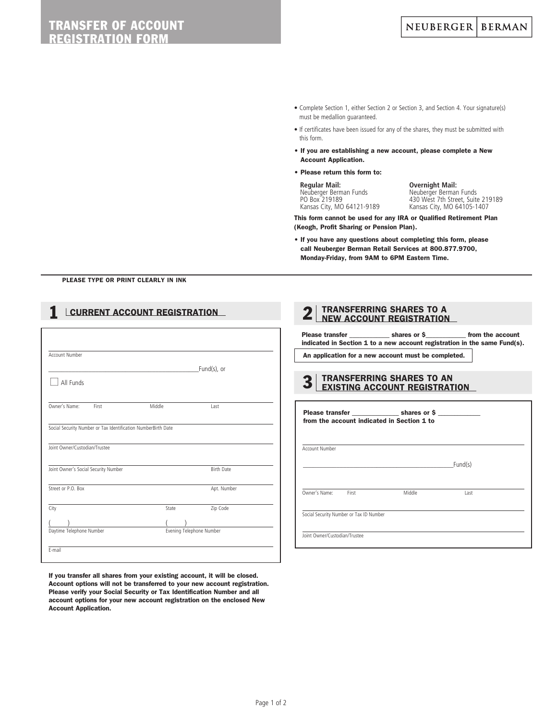- Complete Section 1, either Section 2 or Section 3, and Section 4. Your signature(s) must be medallion guaranteed.
- If certificates have been issued for any of the shares, they must be submitted with this form.
- If you are establishing a new account, please complete a New Account Application.
- Please return this form to:

 **Regular Mail: Overnight Mail:** Neuberger Berman Funds Neuberger Berman Funds

PO Box 219189 430 West 7th Street, Suite 219189 Kansas City, MO 64105-1407

This form cannot be used for any IRA or Qualified Retirement Plan (Keogh, Profit Sharing or Pension Plan).

• If you have any questions about completing this form, please call Neuberger Berman Retail Services at 800.877.9700, Monday-Friday, from 9AM to 6PM Eastern Time.

PLEASE TYPE OR PRINT CLEARLY IN INK

# **1 CURRENT ACCOUNT REGISTRATION**

| Account Number                       |        |                   |
|--------------------------------------|--------|-------------------|
|                                      |        | Fund(s), or       |
| All Funds                            |        |                   |
|                                      |        |                   |
| Owner's Name:<br>First               | Middle | Last              |
| Joint Owner/Custodian/Trustee        |        |                   |
| Joint Owner's Social Security Number |        | <b>Birth Date</b> |
| Street or P.O. Box                   |        | Apt. Number       |
| City                                 | State  | Zip Code          |
|                                      |        |                   |

If you transfer all shares from your existing account, it will be closed. Account options will not be transferred to your new account registration. Please verify your Social Security or Tax Identification Number and all account options for your new account registration on the enclosed New Account Application.

## **2** TRANSFERRING SHARES TO A NEW ACCOUNT REGISTRATION

Please transfer \_\_\_\_\_\_\_\_\_\_\_\_\_ shares or \$\_\_\_\_\_\_\_\_\_\_\_\_ from the account indicated in Section 1 to a new account registration in the same Fund(s).

An application for a new account must be completed.

| 3   TRANSFERRING SHARES TO AN<br>3   EXISTING ACCOUNT REGISTRATION |
|--------------------------------------------------------------------|
|                                                                    |
|                                                                    |

|                               |                                         | Please transfer shares or \$<br>from the account indicated in Section 1 to |         |  |
|-------------------------------|-----------------------------------------|----------------------------------------------------------------------------|---------|--|
| Account Number                |                                         |                                                                            |         |  |
|                               |                                         |                                                                            | Fund(s) |  |
| Owner's Name:                 | First                                   | Middle                                                                     | Last    |  |
|                               | Social Security Number or Tax ID Number |                                                                            |         |  |
| Joint Owner/Custodian/Trustee |                                         |                                                                            |         |  |